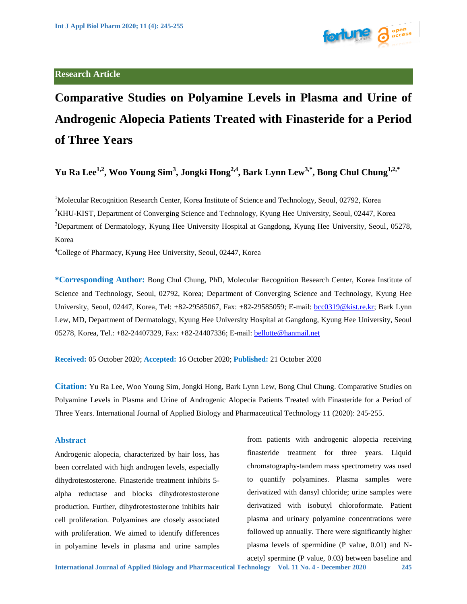# **Research Article**



**Comparative Studies on Polyamine Levels in Plasma and Urine of Androgenic Alopecia Patients Treated with Finasteride for a Period of Three Years**

**Yu Ra Lee1,2, Woo Young Sim<sup>3</sup> , Jongki Hong2,4, Bark Lynn Lew3,\*, Bong Chul Chung1,2,\***

<sup>1</sup>Molecular Recognition Research Center, Korea Institute of Science and Technology, Seoul, 02792, Korea <sup>2</sup>KHU-KIST, Department of Converging Science and Technology, Kyung Hee University, Seoul, 02447, Korea <sup>3</sup>Department of Dermatology, Kyung Hee University Hospital at Gangdong, Kyung Hee University, Seoul, 05278, Korea

<sup>4</sup>College of Pharmacy, Kyung Hee University, Seoul, 02447, Korea

**\*Corresponding Author:** Bong Chul Chung, PhD, Molecular Recognition Research Center, Korea Institute of Science and Technology, Seoul, 02792, Korea; Department of Converging Science and Technology, Kyung Hee University, Seoul, 02447, Korea, Tel: +82-29585067, Fax: +82-29585059; E-mail: [bcc0319@kist.re.kr;](mailto:bcc0319@kist.re.kr) Bark Lynn Lew, MD, Department of Dermatology, Kyung Hee University Hospital at Gangdong, Kyung Hee University, Seoul 05278, Korea, Tel.: +82-24407329, Fax: +82-24407336; E-mail: [bellotte@hanmail.net](mailto:bellotte@hanmail.net)

**Received:** 05 October 2020; **Accepted:** 16 October 2020; **Published:** 21 October 2020

**Citation:** Yu Ra Lee, Woo Young Sim, Jongki Hong, Bark Lynn Lew, Bong Chul Chung. Comparative Studies on Polyamine Levels in Plasma and Urine of Androgenic Alopecia Patients Treated with Finasteride for a Period of Three Years. International Journal of Applied Biology and Pharmaceutical Technology 11 (2020): 245-255.

# **Abstract**

Androgenic alopecia, characterized by hair loss, has been correlated with high androgen levels, especially dihydrotestosterone. Finasteride treatment inhibits 5 alpha reductase and blocks dihydrotestosterone production. Further, dihydrotestosterone inhibits hair cell proliferation. Polyamines are closely associated with proliferation. We aimed to identify differences in polyamine levels in plasma and urine samples from patients with androgenic alopecia receiving finasteride treatment for three years. Liquid chromatography-tandem mass spectrometry was used to quantify polyamines. Plasma samples were derivatized with dansyl chloride; urine samples were derivatized with isobutyl chloroformate. Patient plasma and urinary polyamine concentrations were followed up annually. There were significantly higher plasma levels of spermidine (P value, 0.01) and N-

acetyl spermine (P value, 0.03) between baseline and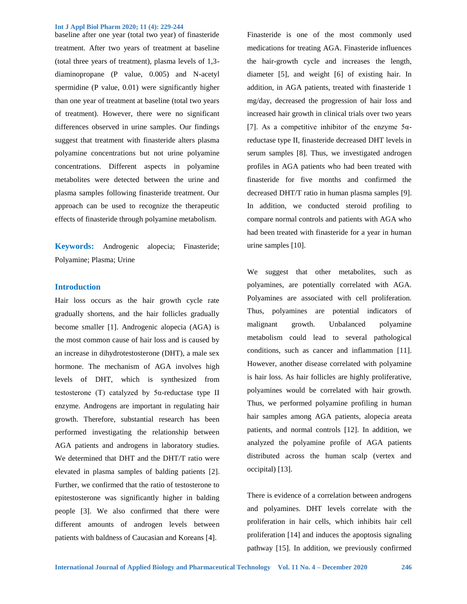baseline after one year (total two year) of finasteride treatment. After two years of treatment at baseline (total three years of treatment), plasma levels of 1,3 diaminopropane (P value, 0.005) and N-acetyl spermidine (P value, 0.01) were significantly higher than one year of treatment at baseline (total two years of treatment). However, there were no significant differences observed in urine samples. Our findings suggest that treatment with finasteride alters plasma polyamine concentrations but not urine polyamine concentrations. Different aspects in polyamine metabolites were detected between the urine and plasma samples following finasteride treatment. Our approach can be used to recognize the therapeutic effects of finasteride through polyamine metabolism.

**Keywords:** Androgenic alopecia; Finasteride; Polyamine; Plasma; Urine

## **Introduction**

Hair loss occurs as the hair growth cycle rate gradually shortens, and the hair follicles gradually become smaller [1]. Androgenic alopecia (AGA) is the most common cause of hair loss and is caused by an increase in dihydrotestosterone (DHT), a male sex hormone. The mechanism of AGA involves high levels of DHT, which is synthesized from testosterone (T) catalyzed by 5α-reductase type II enzyme. Androgens are important in regulating hair growth. Therefore, substantial research has been performed investigating the relationship between AGA patients and androgens in laboratory studies. We determined that DHT and the DHT/T ratio were elevated in plasma samples of balding patients [2]. Further, we confirmed that the ratio of testosterone to epitestosterone was significantly higher in balding people [3]. We also confirmed that there were different amounts of androgen levels between patients with baldness of Caucasian and Koreans [4].

Finasteride is one of the most commonly used medications for treating AGA. Finasteride influences the hair-growth cycle and increases the length, diameter [5], and weight [6] of existing hair. In addition, in AGA patients, treated with finasteride 1 mg/day, decreased the progression of hair loss and increased hair growth in clinical trials over two years [7]. As a competitive inhibitor of the enzyme  $5\alpha$ reductase type II, finasteride decreased DHT levels in serum samples [8]. Thus, we investigated androgen profiles in AGA patients who had been treated with finasteride for five months and confirmed the decreased DHT/T ratio in human plasma samples [9]. In addition, we conducted steroid profiling to compare normal controls and patients with AGA who had been treated with finasteride for a year in human urine samples [10].

We suggest that other metabolites, such as polyamines, are potentially correlated with AGA. Polyamines are associated with cell proliferation. Thus, polyamines are potential indicators of malignant growth. Unbalanced polyamine metabolism could lead to several pathological conditions, such as cancer and inflammation [11]. However, another disease correlated with polyamine is hair loss. As hair follicles are highly proliferative, polyamines would be correlated with hair growth. Thus, we performed polyamine profiling in human hair samples among AGA patients, alopecia areata patients, and normal controls [12]. In addition, we analyzed the polyamine profile of AGA patients distributed across the human scalp (vertex and occipital) [13].

There is evidence of a correlation between androgens and polyamines. DHT levels correlate with the proliferation in hair cells, which inhibits hair cell proliferation [14] and induces the apoptosis signaling pathway [15]. In addition, we previously confirmed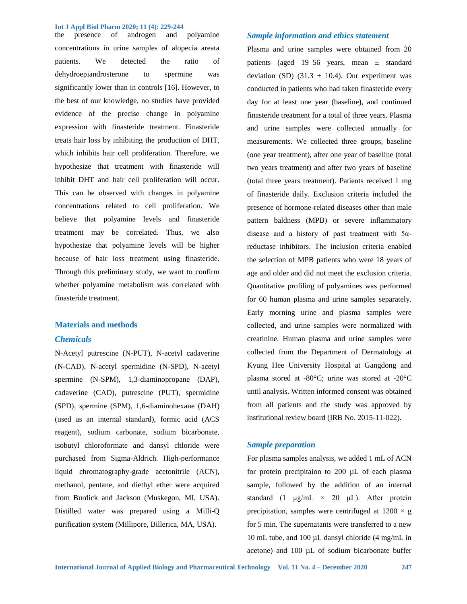the presence of androgen and polyamine concentrations in urine samples of alopecia areata patients. We detected the ratio of dehydroepiandrosterone to spermine was significantly lower than in controls [16]. However, to the best of our knowledge, no studies have provided evidence of the precise change in polyamine expression with finasteride treatment. Finasteride treats hair loss by inhibiting the production of DHT, which inhibits hair cell proliferation. Therefore, we hypothesize that treatment with finasteride will inhibit DHT and hair cell proliferation will occur. This can be observed with changes in polyamine concentrations related to cell proliferation. We believe that polyamine levels and finasteride treatment may be correlated. Thus, we also hypothesize that polyamine levels will be higher because of hair loss treatment using finasteride. Through this preliminary study, we want to confirm whether polyamine metabolism was correlated with finasteride treatment.

### **Materials and methods**

## *Chemicals*

N-Acetyl putrescine (N-PUT), N-acetyl cadaverine (N-CAD), N-acetyl spermidine (N-SPD), N-acetyl spermine (N-SPM), 1,3-diaminopropane (DAP), cadaverine (CAD), putrescine (PUT), spermidine (SPD), spermine (SPM), 1,6-diaminohexane (DAH) (used as an internal standard), formic acid (ACS reagent), sodium carbonate, sodium bicarbonate, isobutyl chloroformate and dansyl chloride were purchased from Sigma-Aldrich. High-performance liquid chromatography-grade acetonitrile (ACN), methanol, pentane, and diethyl ether were acquired from Burdick and Jackson (Muskegon, MI, USA). Distilled water was prepared using a Milli-Q purification system (Millipore, Billerica, MA, USA).

## *Sample information and ethics statement*

Plasma and urine samples were obtained from 20 patients (aged 19–56 years, mean ± standard deviation (SD) (31.3  $\pm$  10.4). Our experiment was conducted in patients who had taken finasteride every day for at least one year (baseline), and continued finasteride treatment for a total of three years. Plasma and urine samples were collected annually for measurements. We collected three groups, baseline (one year treatment), after one year of baseline (total two years treatment) and after two years of baseline (total three years treatment). Patients received 1 mg of finasteride daily. Exclusion criteria included the presence of hormone-related diseases other than male pattern baldness (MPB) or severe inflammatory disease and a history of past treatment with  $5\alpha$ reductase inhibitors. The inclusion criteria enabled the selection of MPB patients who were 18 years of age and older and did not meet the exclusion criteria. Quantitative profiling of polyamines was performed for 60 human plasma and urine samples separately. Early morning urine and plasma samples were collected, and urine samples were normalized with creatinine. Human plasma and urine samples were collected from the Department of Dermatology at Kyung Hee University Hospital at Gangdong and plasma stored at -80°C; urine was stored at -20°C until analysis. Written informed consent was obtained from all patients and the study was approved by institutional review board (IRB No. 2015-11-022).

# *Sample preparation*

For plasma samples analysis, we added 1 mL of ACN for protein precipitaion to 200 µL of each plasma sample, followed by the addition of an internal standard (1  $\mu$ g/mL × 20  $\mu$ L). After protein precipitation, samples were centrifuged at  $1200 \times g$ for 5 min. The supernatants were transferred to a new 10 mL tube, and 100 µL dansyl chloride (4 mg/mL in acetone) and 100 µL of sodium bicarbonate buffer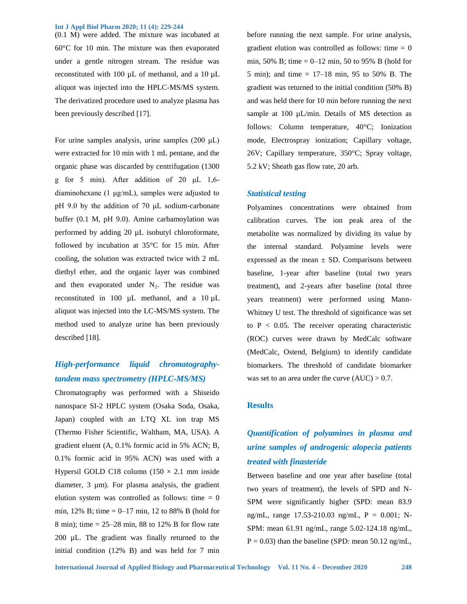(0.1 M) were added. The mixture was incubated at 60°C for 10 min. The mixture was then evaporated under a gentle nitrogen stream. The residue was reconstituted with 100 µL of methanol, and a 10 µL aliquot was injected into the HPLC-MS/MS system. The derivatized procedure used to analyze plasma has been previously described [17].

For urine samples analysis, urine samples (200 μL) were extracted for 10 min with 1 mL pentane, and the organic phase was discarded by centrifugation (1300 g for 5 min). After addition of 20 μL 1,6 diaminohexane (1 μg/mL), samples were adjusted to pH 9.0 by the addition of 70 μL sodium-carbonate buffer (0.1 M, pH 9.0). Amine carbamoylation was performed by adding 20 µL isobutyl chloroformate, followed by incubation at 35°C for 15 min. After cooling, the solution was extracted twice with 2 mL diethyl ether, and the organic layer was combined and then evaporated under  $N_2$ . The residue was reconstituted in 100 µL methanol, and a 10 µL aliquot was injected into the LC-MS/MS system. The method used to analyze urine has been previously described [18].

# *High-performance liquid chromatographytandem mass spectrometry (HPLC-MS/MS)*

Chromatography was performed with a Shiseido nanospace SI-2 HPLC system (Osaka Soda, Osaka, Japan) coupled with an LTQ XL ion trap MS (Thermo Fisher Scientific, Waltham, MA, USA). A gradient eluent (A, 0.1% formic acid in 5% ACN; B, 0.1% formic acid in 95% ACN) was used with a Hypersil GOLD C18 column  $(150 \times 2.1 \text{ mm} \text{ inside})$ diameter, 3 µm). For plasma analysis, the gradient elution system was controlled as follows: time  $= 0$ min, 12% B; time =  $0-17$  min, 12 to 88% B (hold for 8 min); time = 25–28 min, 88 to 12% B for flow rate 200 µL. The gradient was finally returned to the initial condition (12% B) and was held for 7 min

before running the next sample. For urine analysis, gradient elution was controlled as follows: time  $= 0$ min, 50% B; time  $= 0 - 12$  min, 50 to 95% B (hold for 5 min); and time = 17–18 min, 95 to 50% B. The gradient was returned to the initial condition (50% B) and was held there for 10 min before running the next sample at 100 µL/min. Details of MS detection as follows: Column temperature, 40°C; Ionization mode, Electrospray ionization; Capillary voltage, 26V; Capillary temperature, 350°C; Spray voltage, 5.2 kV; Sheath gas flow rate, 20 arb.

## *Statistical testing*

Polyamines concentrations were obtained from calibration curves. The ion peak area of the metabolite was normalized by dividing its value by the internal standard. Polyamine levels were expressed as the mean  $\pm$  SD. Comparisons between baseline, 1-year after baseline (total two years treatment), and 2-years after baseline (total three years treatment) were performed using Mann-Whitney U test. The threshold of significance was set to  $P < 0.05$ . The receiver operating characteristic (ROC) curves were drawn by MedCalc software (MedCalc, Ostend, Belgium) to identify candidate biomarkers. The threshold of candidate biomarker was set to an area under the curve  $(AUC) > 0.7$ .

#### **Results**

# *Quantification of polyamines in plasma and urine samples of androgenic alopecia patients treated with finasteride*

Between baseline and one year after baseline (total two years of treatment), the levels of SPD and N-SPM were significantly higher (SPD: mean 83.9 ng/mL, range 17.53-210.03 ng/mL, P = 0.001; N-SPM: mean 61.91 ng/mL, range 5.02-124.18 ng/mL,  $P = 0.03$ ) than the baseline (SPD: mean 50.12 ng/mL,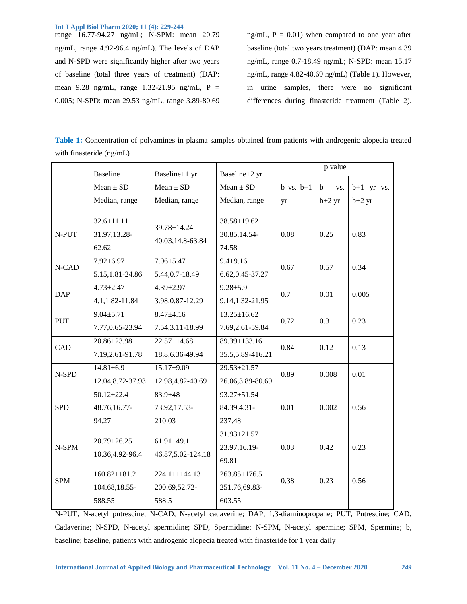range 16.77-94.27 ng/mL; N-SPM: mean 20.79 ng/mL, range 4.92-96.4 ng/mL). The levels of DAP and N-SPD were significantly higher after two years of baseline (total three years of treatment) (DAP: mean 9.28 ng/mL, range 1.32-21.95 ng/mL, P = 0.005; N-SPD: mean 29.53 ng/mL, range 3.89-80.69 ng/mL,  $P = 0.01$ ) when compared to one year after baseline (total two years treatment) (DAP: mean 4.39 ng/mL, range 0.7-18.49 ng/mL; N-SPD: mean 15.17 ng/mL, range 4.82-40.69 ng/mL) (Table 1). However, in urine samples, there were no significant differences during finasteride treatment (Table 2).

**Table 1:** Concentration of polyamines in plasma samples obtained from patients with androgenic alopecia treated with finasteride (ng/mL)

|            | <b>Baseline</b>    | Baseline+1 yr                   | Baseline+2 yr      | p value       |                    |              |
|------------|--------------------|---------------------------------|--------------------|---------------|--------------------|--------------|
|            | $Mean \pm SD$      | $Mean \pm SD$                   | $Mean \pm SD$      | $b$ vs. $b+1$ | $\mathbf b$<br>VS. | $b+1$ yr vs. |
|            | Median, range      | Median, range                   | Median, range      | yr            | $b+2$ yr           | $b+2$ yr     |
|            |                    |                                 |                    |               |                    |              |
| N-PUT      | $32.6 \pm 11.11$   | 39.78±14.24<br>40.03,14.8-63.84 | $38.58 \pm 19.62$  | 0.08          | 0.25               | 0.83         |
|            | 31.97,13.28-       |                                 | 30.85,14.54-       |               |                    |              |
|            | 62.62              |                                 | 74.58              |               |                    |              |
| N-CAD      | $7.92 \pm 6.97$    | $7.06 \pm 5.47$                 | $9.4 \pm 9.16$     | 0.67          | 0.57               | 0.34         |
|            | 5.15, 1.81-24.86   | 5.44, 0.7-18.49                 | 6.62, 0.45 - 37.27 |               |                    |              |
| <b>DAP</b> | $4.73 \pm 2.47$    | $4.39 \pm 2.97$                 | $9.28 \pm 5.9$     | 0.7           | 0.01               | 0.005        |
|            | 4.1,1.82-11.84     | 3.98, 0.87-12.29                | 9.14,1.32-21.95    |               |                    |              |
| <b>PUT</b> | $9.04 \pm 5.71$    | $8.47 \pm 4.16$                 | $13.25 \pm 16.62$  | 0.72          | 0.3                | 0.23         |
|            | 7.77,0.65-23.94    | 7.54, 3.11 - 18.99              | 7.69,2.61-59.84    |               |                    |              |
| CAD        | 20.86±23.98        | $22.57 \pm 14.68$               | 89.39±133.16       | 0.84          | 0.12               | 0.13         |
|            | 7.19,2.61-91.78    | 18.8, 6.36-49.94                | 35.5,5.89-416.21   |               |                    |              |
| N-SPD      | $14.81 \pm 6.9$    | $15.17 \pm 9.09$                | 29.53±21.57        | 0.89          | 0.008              | 0.01         |
|            | 12.04, 8.72-37.93  | 12.98,4.82-40.69                | 26.06,3.89-80.69   |               |                    |              |
|            | $50.12 \pm 22.4$   | 83.9±48                         | 93.27±51.54        |               |                    |              |
| <b>SPD</b> | 48.76,16.77-       | 73.92,17.53-                    | 84.39,4.31-        | 0.01          | 0.002              | 0.56         |
|            | 94.27              | 210.03                          | 237.48             |               |                    |              |
| N-SPM      | 20.79±26.25        | $61.91 \pm 49.1$                | 31.93±21.57        |               |                    |              |
|            | 10.36,4.92-96.4    | 46.87, 5.02-124.18              | 23.97,16.19-       | 0.03          | 0.42               | 0.23         |
|            |                    |                                 | 69.81              |               |                    |              |
| <b>SPM</b> | $160.82 \pm 181.2$ | $224.11 \pm 144.13$             | $263.85 \pm 176.5$ | 0.38          | 0.23               | 0.56         |
|            | 104.68,18.55-      | 200.69,52.72-                   | 251.76,69.83-      |               |                    |              |
|            | 588.55             | 588.5                           | 603.55             |               |                    |              |

N-PUT, N-acetyl putrescine; N-CAD, N-acetyl cadaverine; DAP, 1,3-diaminopropane; PUT, Putrescine; CAD, Cadaverine; N-SPD, N-acetyl spermidine; SPD, Spermidine; N-SPM, N-acetyl spermine; SPM, Spermine; b, baseline; baseline, patients with androgenic alopecia treated with finasteride for 1 year daily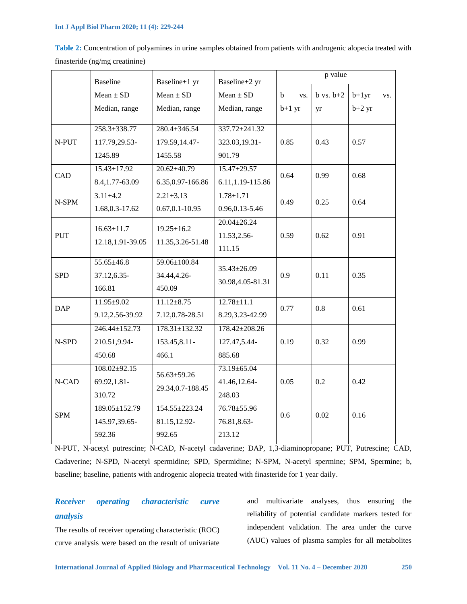|                                |                  |                  | <b>Table 2:</b> Concentration of polyamines in urine samples obtained from patients with androgenic alopecia treated w |  |  |
|--------------------------------|------------------|------------------|------------------------------------------------------------------------------------------------------------------------|--|--|
| finasteride (ng/mg creatinine) |                  |                  |                                                                                                                        |  |  |
| <b>Baseline</b>                | Baseline $+1$ yr | Baseline $+2$ yr | p value                                                                                                                |  |  |
|                                |                  |                  |                                                                                                                        |  |  |

**Table 2:** Concentration of polyamines in urine samples obtained from patients with androgenic alopecia treated with

|            |                    | разенне і 1 уг                        | $D$ asvililo $\sim$ yi |                    |               |          |     |
|------------|--------------------|---------------------------------------|------------------------|--------------------|---------------|----------|-----|
|            | $Mean \pm SD$      | $Mean \pm SD$                         | $Mean \pm SD$          | $\mathbf b$<br>VS. | $b$ vs. $b+2$ | $b+1yr$  | VS. |
|            | Median, range      | Median, range                         | Median, range          | $b+1$ yr           | yr            | $b+2$ yr |     |
|            |                    |                                       |                        |                    |               |          |     |
| N-PUT      | 258.3±338.77       | $280.4 \pm 346.54$                    | 337.72±241.32          |                    |               |          |     |
|            | 117.79,29.53-      | 179.59,14.47-                         | 323.03,19.31-          | 0.85               | 0.43          | 0.57     |     |
|            | 1245.89            | 1455.58                               | 901.79                 |                    |               |          |     |
| CAD        | $15.43 \pm 17.92$  | $20.62 \pm 40.79$                     | $15.47 \pm 29.57$      | 0.64               | 0.99          | 0.68     |     |
|            | 8.4, 1.77-63.09    | 6.35, 0.97-166.86                     | 6.11,1.19-115.86       |                    |               |          |     |
| N-SPM      | $3.11 \pm 4.2$     | $2.21 \pm 3.13$                       | $1.78 + 1.71$          | 0.49               | 0.25          | 0.64     |     |
|            | 1.68, 0.3-17.62    | $0.67, 0.1 - 10.95$                   | 0.96, 0.13 - 5.46      |                    |               |          |     |
|            | $16.63 \pm 11.7$   | $19.25 \pm 16.2$<br>11.35, 3.26-51.48 | $20.04 \pm 26.24$      | 0.59               | 0.62          | 0.91     |     |
| <b>PUT</b> |                    |                                       | 11.53,2.56-            |                    |               |          |     |
|            | 12.18,1.91-39.05   |                                       | 111.15                 |                    |               |          |     |
| <b>SPD</b> | 55.65±46.8         | 59.06±100.84<br>34.44,4.26-           |                        | 0.9                | 0.11          | 0.35     |     |
|            | 37.12,6.35-        |                                       | $35.43 \pm 26.09$      |                    |               |          |     |
|            | 166.81             | 450.09                                | 30.98,4.05-81.31       |                    |               |          |     |
| <b>DAP</b> | $11.95 \pm 9.02$   | $11.12 \pm 8.75$                      | $12.78 \pm 11.1$       | 0.77               | 0.8           | 0.61     |     |
|            | 9.12,2.56-39.92    | 7.12,0.78-28.51                       | 8.29,3.23-42.99        |                    |               |          |     |
|            | 246.44±152.73      | $178.31 \pm 132.32$                   | 178.42±208.26          |                    |               |          |     |
| N-SPD      | 210.51,9.94-       | 153.45,8.11-                          | 127.47,5.44-           | 0.19               | 0.32          | 0.99     |     |
|            | 450.68             | 466.1                                 | 885.68                 |                    |               |          |     |
| N-CAD      | $108.02 \pm 92.15$ | 56.63±59.26<br>29.34, 0.7-188.45      | 73.19±65.04            | 0.05               | 0.2           |          |     |
|            | 69.92,1.81-        |                                       | 41.46,12.64-           |                    |               | 0.42     |     |
|            | 310.72             |                                       | 248.03                 |                    |               |          |     |
| <b>SPM</b> | 189.05±152.79      | 154.55±223.24                         | 76.78±55.96            | 0.6                | 0.02          | 0.16     |     |
|            | 145.97,39.65-      | 81.15,12.92-                          | 76.81,8.63-            |                    |               |          |     |
|            | 592.36             | 992.65                                | 213.12                 |                    |               |          |     |
|            |                    |                                       |                        |                    |               |          |     |

N-PUT, N-acetyl putrescine; N-CAD, N-acetyl cadaverine; DAP, 1,3-diaminopropane; PUT, Putrescine; CAD, Cadaverine; N-SPD, N-acetyl spermidine; SPD, Spermidine; N-SPM, N-acetyl spermine; SPM, Spermine; b, baseline; baseline, patients with androgenic alopecia treated with finasteride for 1 year daily.

# *Receiver operating characteristic curve analysis*

The results of receiver operating characteristic (ROC) curve analysis were based on the result of univariate

and multivariate analyses, thus ensuring the reliability of potential candidate markers tested for independent validation. The area under the curve (AUC) values of plasma samples for all metabolites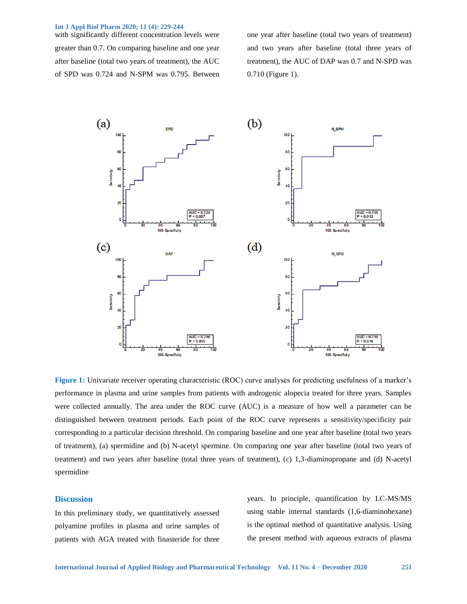with significantly different concentration levels were greater than 0.7. On comparing baseline and one year after baseline (total two years of treatment), the AUC of SPD was 0.724 and N-SPM was 0.795. Between one year after baseline (total two years of treatment) and two years after baseline (total three years of treatment), the AUC of DAP was 0.7 and N-SPD was 0.710 (Figure 1).



**Figure 1:** Univariate receiver operating characteristic (ROC) curve analyses for predicting usefulness of a marker's performance in plasma and urine samples from patients with androgenic alopecia treated for three years. Samples were collected annually. The area under the ROC curve (AUC) is a measure of how well a parameter can be distinguished between treatment periods. Each point of the ROC curve represents a sensitivity/specificity pair corresponding to a particular decision threshold. On comparing baseline and one year after baseline (total two years of treatment), (a) spermidine and (b) N-acetyl spermine. On comparing one year after baseline (total two years of treatment) and two years after baseline (total three years of treatment), (c) 1,3-diaminopropane and (d) N-acetyl spermidine

# **Discussion**

In this preliminary study, we quantitatively assessed polyamine profiles in plasma and urine samples of patients with AGA treated with finasteride for three

years. In principle, quantification by LC-MS/MS using stable internal standards (1,6-diaminohexane) is the optimal method of quantitative analysis. Using the present method with aqueous extracts of plasma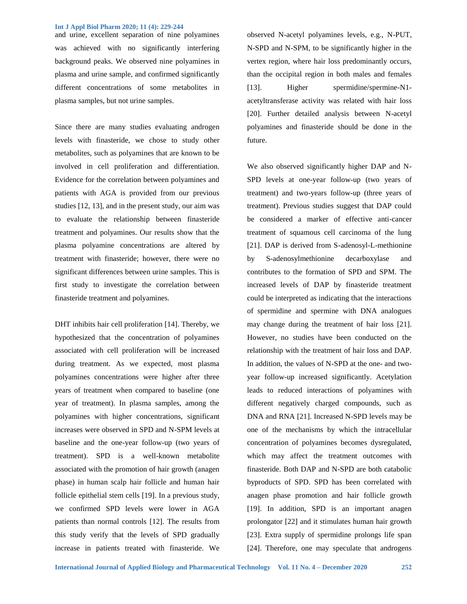and urine, excellent separation of nine polyamines was achieved with no significantly interfering background peaks. We observed nine polyamines in plasma and urine sample, and confirmed significantly different concentrations of some metabolites in plasma samples, but not urine samples.

Since there are many studies evaluating androgen levels with finasteride, we chose to study other metabolites, such as polyamines that are known to be involved in cell proliferation and differentiation. Evidence for the correlation between polyamines and patients with AGA is provided from our previous studies [12, 13], and in the present study, our aim was to evaluate the relationship between finasteride treatment and polyamines. Our results show that the plasma polyamine concentrations are altered by treatment with finasteride; however, there were no significant differences between urine samples. This is first study to investigate the correlation between finasteride treatment and polyamines.

DHT inhibits hair cell proliferation [14]. Thereby, we hypothesized that the concentration of polyamines associated with cell proliferation will be increased during treatment. As we expected, most plasma polyamines concentrations were higher after three years of treatment when compared to baseline (one year of treatment). In plasma samples, among the polyamines with higher concentrations, significant increases were observed in SPD and N-SPM levels at baseline and the one-year follow-up (two years of treatment). SPD is a well-known metabolite associated with the promotion of hair growth (anagen phase) in human scalp hair follicle and human hair follicle epithelial stem cells [19]. In a previous study, we confirmed SPD levels were lower in AGA patients than normal controls [12]. The results from this study verify that the levels of SPD gradually increase in patients treated with finasteride. We observed N-acetyl polyamines levels, e.g., N-PUT, N-SPD and N-SPM, to be significantly higher in the vertex region, where hair loss predominantly occurs, than the occipital region in both males and females [13]. Higher spermidine/spermine-N1acetyltransferase activity was related with hair loss [20]. Further detailed analysis between N-acetyl polyamines and finasteride should be done in the future.

We also observed significantly higher DAP and N-SPD levels at one-year follow-up (two years of treatment) and two-years follow-up (three years of treatment). Previous studies suggest that DAP could be considered a marker of effective anti-cancer treatment of squamous cell carcinoma of the lung [21]. DAP is derived from S-adenosyl-L-methionine by S-adenosylmethionine decarboxylase and contributes to the formation of SPD and SPM. The increased levels of DAP by finasteride treatment could be interpreted as indicating that the interactions of spermidine and spermine with DNA analogues may change during the treatment of hair loss [21]. However, no studies have been conducted on the relationship with the treatment of hair loss and DAP. In addition, the values of N-SPD at the one- and twoyear follow-up increased significantly. Acetylation leads to reduced interactions of polyamines with different negatively charged compounds, such as DNA and RNA [21]. Increased N-SPD levels may be one of the mechanisms by which the intracellular concentration of polyamines becomes dysregulated, which may affect the treatment outcomes with finasteride. Both DAP and N-SPD are both catabolic byproducts of SPD. SPD has been correlated with anagen phase promotion and hair follicle growth [19]. In addition, SPD is an important anagen prolongator [22] and it stimulates human hair growth [23]. Extra supply of spermidine prolongs life span [24]. Therefore, one may speculate that androgens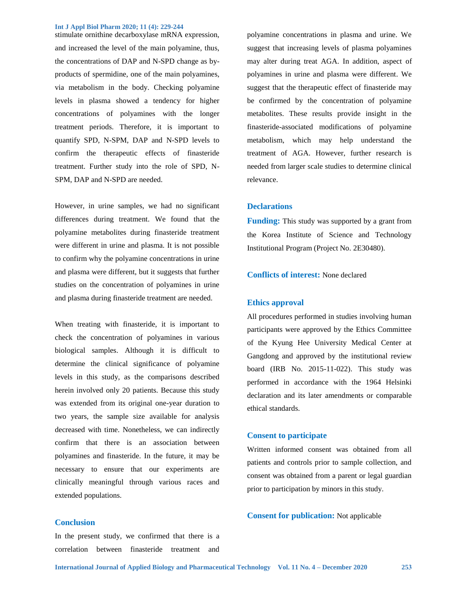stimulate ornithine decarboxylase mRNA expression, and increased the level of the main polyamine, thus, the concentrations of DAP and N-SPD change as byproducts of spermidine, one of the main polyamines, via metabolism in the body. Checking polyamine levels in plasma showed a tendency for higher concentrations of polyamines with the longer treatment periods. Therefore, it is important to quantify SPD, N-SPM, DAP and N-SPD levels to confirm the therapeutic effects of finasteride treatment. Further study into the role of SPD, N-SPM, DAP and N-SPD are needed.

However, in urine samples, we had no significant differences during treatment. We found that the polyamine metabolites during finasteride treatment were different in urine and plasma. It is not possible to confirm why the polyamine concentrations in urine and plasma were different, but it suggests that further studies on the concentration of polyamines in urine and plasma during finasteride treatment are needed.

When treating with finasteride, it is important to check the concentration of polyamines in various biological samples. Although it is difficult to determine the clinical significance of polyamine levels in this study, as the comparisons described herein involved only 20 patients. Because this study was extended from its original one-year duration to two years, the sample size available for analysis decreased with time. Nonetheless, we can indirectly confirm that there is an association between polyamines and finasteride. In the future, it may be necessary to ensure that our experiments are clinically meaningful through various races and extended populations.

# **Conclusion**

In the present study, we confirmed that there is a correlation between finasteride treatment and

polyamine concentrations in plasma and urine. We suggest that increasing levels of plasma polyamines may alter during treat AGA. In addition, aspect of polyamines in urine and plasma were different. We suggest that the therapeutic effect of finasteride may be confirmed by the concentration of polyamine metabolites. These results provide insight in the finasteride-associated modifications of polyamine metabolism, which may help understand the treatment of AGA. However, further research is needed from larger scale studies to determine clinical relevance.

## **Declarations**

**Funding:** This study was supported by a grant from the Korea Institute of Science and Technology Institutional Program (Project No. 2E30480).

## **Conflicts of interest:** None declared

#### **Ethics approval**

All procedures performed in studies involving human participants were approved by the Ethics Committee of the Kyung Hee University Medical Center at Gangdong and approved by the institutional review board (IRB No. 2015-11-022). This study was performed in accordance with the 1964 Helsinki declaration and its later amendments or comparable ethical standards.

## **Consent to participate**

Written informed consent was obtained from all patients and controls prior to sample collection, and consent was obtained from a parent or legal guardian prior to participation by minors in this study.

**Consent for publication:** Not applicable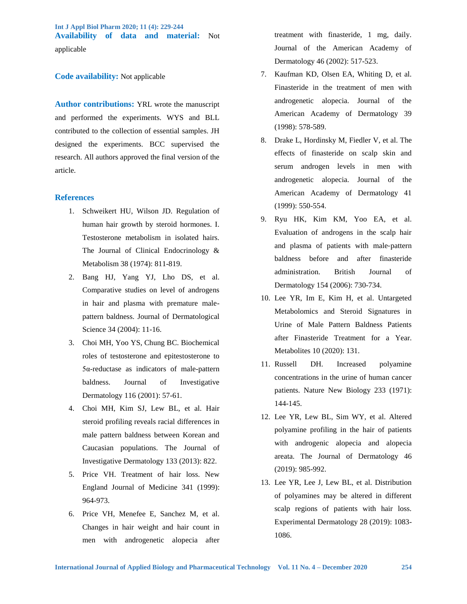**Int J Appl Biol Pharm 2020; 11 (4): 229-244 Availability of data and material:** Not applicable

# **Code availability:** Not applicable

**Author contributions:** YRL wrote the manuscript and performed the experiments. WYS and BLL contributed to the collection of essential samples. JH designed the experiments. BCC supervised the research. All authors approved the final version of the article.

# **References**

- 1. Schweikert HU, Wilson JD. Regulation of human hair growth by steroid hormones. I. Testosterone metabolism in isolated hairs. The Journal of Clinical Endocrinology & Metabolism 38 (1974): 811-819.
- 2. Bang HJ, Yang YJ, Lho DS, et al. Comparative studies on level of androgens in hair and plasma with premature malepattern baldness. Journal of Dermatological Science 34 (2004): 11-16.
- 3. Choi MH, Yoo YS, Chung BC. Biochemical roles of testosterone and epitestosterone to 5α-reductase as indicators of male-pattern baldness. Journal of Investigative Dermatology 116 (2001): 57-61.
- 4. Choi MH, Kim SJ, Lew BL, et al. Hair steroid profiling reveals racial differences in male pattern baldness between Korean and Caucasian populations. The Journal of Investigative Dermatology 133 (2013): 822.
- 5. Price VH. Treatment of hair loss. New England Journal of Medicine 341 (1999): 964-973.
- 6. Price VH, Menefee E, Sanchez M, et al. Changes in hair weight and hair count in men with androgenetic alopecia after

treatment with finasteride, 1 mg, daily. Journal of the American Academy of Dermatology 46 (2002): 517-523.

- 7. Kaufman KD, Olsen EA, Whiting D, et al. Finasteride in the treatment of men with androgenetic alopecia. Journal of the American Academy of Dermatology 39 (1998): 578-589.
- 8. Drake L, Hordinsky M, Fiedler V, et al. The effects of finasteride on scalp skin and serum androgen levels in men with androgenetic alopecia. Journal of the American Academy of Dermatology 41 (1999): 550-554.
- 9. Ryu HK, Kim KM, Yoo EA, et al. Evaluation of androgens in the scalp hair and plasma of patients with male‐pattern baldness before and after finasteride administration. British Journal of Dermatology 154 (2006): 730-734.
- 10. Lee YR, Im E, Kim H, et al. Untargeted Metabolomics and Steroid Signatures in Urine of Male Pattern Baldness Patients after Finasteride Treatment for a Year. Metabolites 10 (2020): 131.
- 11. Russell DH. Increased polyamine concentrations in the urine of human cancer patients. Nature New Biology 233 (1971): 144-145.
- 12. Lee YR, Lew BL, Sim WY, et al. Altered polyamine profiling in the hair of patients with androgenic alopecia and alopecia areata. The Journal of Dermatology 46 (2019): 985-992.
- 13. Lee YR, Lee J, Lew BL, et al. Distribution of polyamines may be altered in different scalp regions of patients with hair loss. Experimental Dermatology 28 (2019): 1083- 1086.